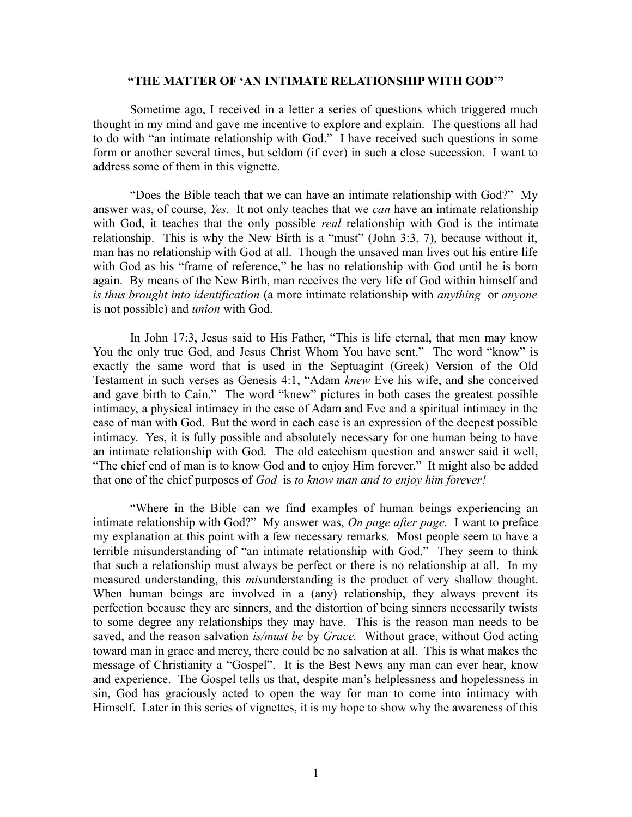## **"THE MATTER OF 'AN INTIMATE RELATIONSHIP WITH GOD'"**

Sometime ago, I received in a letter a series of questions which triggered much thought in my mind and gave me incentive to explore and explain. The questions all had to do with "an intimate relationship with God." I have received such questions in some form or another several times, but seldom (if ever) in such a close succession. I want to address some of them in this vignette.

"Does the Bible teach that we can have an intimate relationship with God?" My answer was, of course, *Yes*. It not only teaches that we *can* have an intimate relationship with God, it teaches that the only possible *real* relationship with God is the intimate relationship. This is why the New Birth is a "must" (John 3:3, 7), because without it, man has no relationship with God at all. Though the unsaved man lives out his entire life with God as his "frame of reference," he has no relationship with God until he is born again. By means of the New Birth, man receives the very life of God within himself and *is thus brought into identification* (a more intimate relationship with *anything* or *anyone* is not possible) and *union* with God.

In John 17:3, Jesus said to His Father, "This is life eternal, that men may know You the only true God, and Jesus Christ Whom You have sent." The word "know" is exactly the same word that is used in the Septuagint (Greek) Version of the Old Testament in such verses as Genesis 4:1, "Adam *knew* Eve his wife, and she conceived and gave birth to Cain." The word "knew" pictures in both cases the greatest possible intimacy, a physical intimacy in the case of Adam and Eve and a spiritual intimacy in the case of man with God. But the word in each case is an expression of the deepest possible intimacy. Yes, it is fully possible and absolutely necessary for one human being to have an intimate relationship with God. The old catechism question and answer said it well, "The chief end of man is to know God and to enjoy Him forever." It might also be added that one of the chief purposes of *God* is *to know man and to enjoy him forever!*

"Where in the Bible can we find examples of human beings experiencing an intimate relationship with God?" My answer was, *On page after page.* I want to preface my explanation at this point with a few necessary remarks. Most people seem to have a terrible misunderstanding of "an intimate relationship with God." They seem to think that such a relationship must always be perfect or there is no relationship at all. In my measured understanding, this *mis*understanding is the product of very shallow thought. When human beings are involved in a (any) relationship, they always prevent its perfection because they are sinners, and the distortion of being sinners necessarily twists to some degree any relationships they may have. This is the reason man needs to be saved, and the reason salvation *is/must be* by *Grace.* Without grace, without God acting toward man in grace and mercy, there could be no salvation at all. This is what makes the message of Christianity a "Gospel". It is the Best News any man can ever hear, know and experience. The Gospel tells us that, despite man's helplessness and hopelessness in sin, God has graciously acted to open the way for man to come into intimacy with Himself. Later in this series of vignettes, it is my hope to show why the awareness of this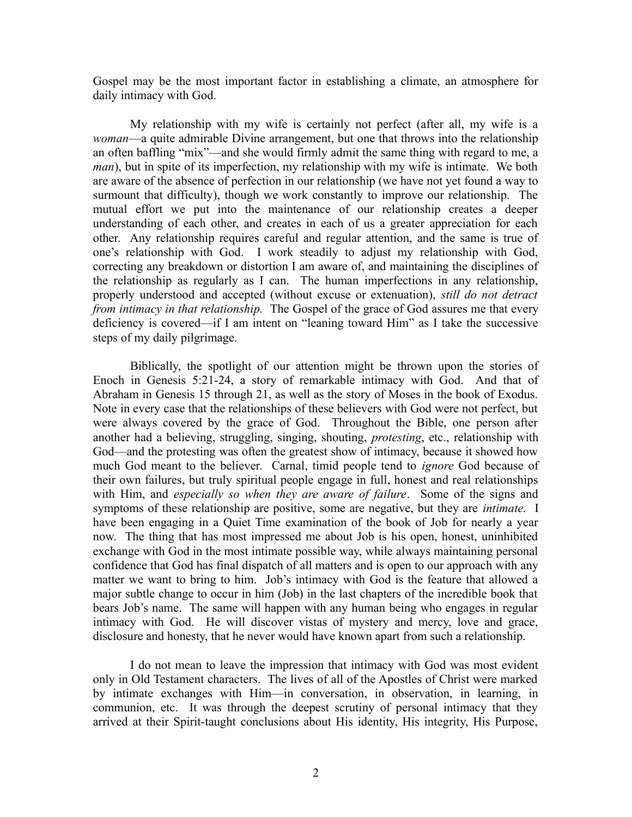Gospel may be the most important factor in establishing a climate, an atmosphere for daily intimacy with God.

My relationship with my wife is certainly not perfect (after all, my wife is a *woman*—a quite admirable Divine arrangement, but one that throws into the relationship an often baffling "mix"—and she would firmly admit the same thing with regard to me, a *man*), but in spite of its imperfection, my relationship with my wife is intimate. We both are aware of the absence of perfection in our relationship (we have not yet found a way to surmount that difficulty), though we work constantly to improve our relationship. The mutual effort we put into the maintenance of our relationship creates a deeper understanding of each other, and creates in each of us a greater appreciation for each other. Any relationship requires careful and regular attention, and the same is true of one's relationship with God. I work steadily to adjust my relationship with God, correcting any breakdown or distortion I am aware of, and maintaining the disciplines of the relationship as regularly as I can. The human imperfections in any relationship, properly understood and accepted (without excuse or extenuation), *still do not detract from intimacy in that relationship.* The Gospel of the grace of God assures me that every deficiency is covered—if I am intent on "leaning toward Him" as I take the successive steps of my daily pilgrimage.

Biblically, the spotlight of our attention might be thrown upon the stories of Enoch in Genesis 5:21-24, a story of remarkable intimacy with God. And that of Abraham in Genesis 15 through 21, as well as the story of Moses in the book of Exodus. Note in every case that the relationships of these believers with God were not perfect, but were always covered by the grace of God. Throughout the Bible, one person after another had a believing, struggling, singing, shouting, *protesting*, etc., relationship with God—and the protesting was often the greatest show of intimacy, because it showed how much God meant to the believer. Carnal, timid people tend to *ignore* God because of their own failures, but truly spiritual people engage in full, honest and real relationships with Him, and *especially so when they are aware of failure*. Some of the signs and symptoms of these relationship are positive, some are negative, but they are *intimate.* I have been engaging in a Quiet Time examination of the book of Job for nearly a year now. The thing that has most impressed me about Job is his open, honest, uninhibited exchange with God in the most intimate possible way, while always maintaining personal confidence that God has final dispatch of all matters and is open to our approach with any matter we want to bring to him. Job's intimacy with God is the feature that allowed a major subtle change to occur in him (Job) in the last chapters of the incredible book that bears Job's name. The same will happen with any human being who engages in regular intimacy with God. He will discover vistas of mystery and mercy, love and grace, disclosure and honesty, that he never would have known apart from such a relationship.

I do not mean to leave the impression that intimacy with God was most evident only in Old Testament characters. The lives of all of the Apostles of Christ were marked by intimate exchanges with Him—in conversation, in observation, in learning, in communion, etc. It was through the deepest scrutiny of personal intimacy that they arrived at their Spirit-taught conclusions about His identity, His integrity, His Purpose,